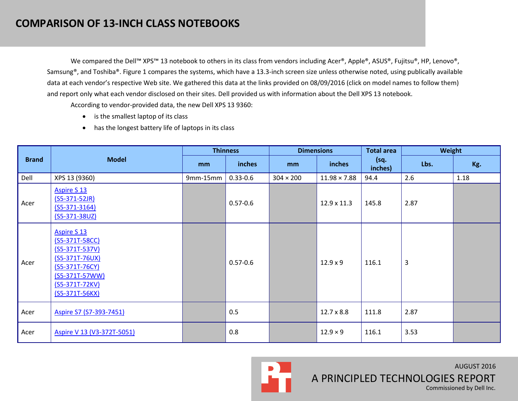We compared the Dell™ XPS™ 13 notebook to others in its class from vendors including Acer®, Apple®, ASUS®, Fujitsu®, HP, Lenovo®, Samsung®, and Toshiba®. Figure 1 compares the systems, which have a 13.3-inch screen size unless otherwise noted, using publically available data at each vendor's respective Web site. We gathered this data at the links provided on 08/09/2016 (click on model names to follow them) and report only what each vendor disclosed on their sites. Dell provided us with information about the Dell XPS 13 notebook.

According to vendor-provided data, the new Dell XPS 13 9360:

- is the smallest laptop of its class
- has the longest battery life of laptops in its class

|              | <b>Model</b>                                                                                                                                               | <b>Thinness</b> |              | <b>Dimensions</b> |                     | <b>Total area</b> | Weight |      |
|--------------|------------------------------------------------------------------------------------------------------------------------------------------------------------|-----------------|--------------|-------------------|---------------------|-------------------|--------|------|
| <b>Brand</b> |                                                                                                                                                            | m <sub>m</sub>  | inches       | mm                | inches              | (sq.<br>inches)   | Lbs.   | Kg.  |
| Dell         | XPS 13 (9360)                                                                                                                                              | 9mm-15mm        | $0.33 - 0.6$ | $304 \times 200$  | $11.98 \times 7.88$ | 94.4              | 2.6    | 1.18 |
| Acer         | <b>Aspire S 13</b><br>$(S5-371-52JR)$<br>$(55-371-3164)$<br>$(S5-371-38UZ)$                                                                                |                 | $0.57 - 0.6$ |                   | 12.9 x 11.3         | 145.8             | 2.87   |      |
| Acer         | <b>Aspire S 13</b><br>(S5-371T-58CC)<br>$(S5-371T-537V)$<br>$(S5-371T-76UX)$<br>(S5-371T-76CY)<br>$(S5 - 371T - 57WW)$<br>(S5-371T-72KV)<br>(S5-371T-56KX) |                 | $0.57 - 0.6$ |                   | $12.9 \times 9$     | 116.1             | 3      |      |
| Acer         | Aspire S7 (S7-393-7451)                                                                                                                                    |                 | 0.5          |                   | $12.7 \times 8.8$   | 111.8             | 2.87   |      |
| Acer         | Aspire V 13 (V3-372T-5051)                                                                                                                                 |                 | 0.8          |                   | $12.9 \times 9$     | 116.1             | 3.53   |      |

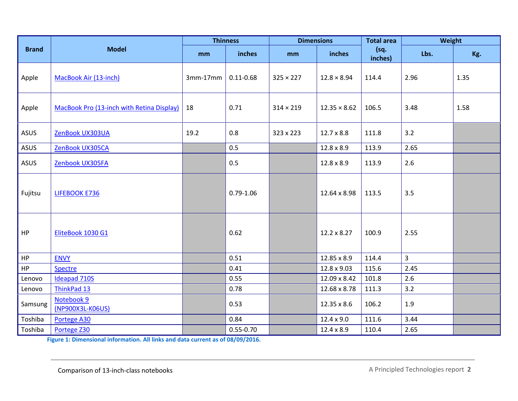|              |                                           | <b>Thinness</b> |               | <b>Dimensions</b> |                     | <b>Total area</b> | Weight         |      |
|--------------|-------------------------------------------|-----------------|---------------|-------------------|---------------------|-------------------|----------------|------|
| <b>Brand</b> | <b>Model</b>                              | mm              | inches        | mm                | inches              | (sq.<br>inches)   | Lbs.           | Kg.  |
| Apple        | MacBook Air (13-inch)                     | $3mm-17mm$      | $0.11 - 0.68$ | $325 \times 227$  | $12.8 \times 8.94$  | 114.4             | 2.96           | 1.35 |
| Apple        | MacBook Pro (13-inch with Retina Display) | 18              | 0.71          | $314 \times 219$  | $12.35 \times 8.62$ | 106.5             | 3.48           | 1.58 |
| ASUS         | ZenBook UX303UA                           | 19.2            | 0.8           | 323 x 223         | $12.7 \times 8.8$   | 111.8             | 3.2            |      |
| ASUS         | ZenBook UX305CA                           |                 | 0.5           |                   | 12.8 x 8.9          | 113.9             | 2.65           |      |
| ASUS         | Zenbook UX305FA                           |                 | 0.5           |                   | 12.8 x 8.9          | 113.9             | 2.6            |      |
| Fujitsu      | LIFEBOOK E736                             |                 | $0.79 - 1.06$ |                   | 12.64 x 8.98        | 113.5             | 3.5            |      |
| HP           | EliteBook 1030 G1                         |                 | 0.62          |                   | 12.2 x 8.27         | 100.9             | 2.55           |      |
| HP           | <b>ENVY</b>                               |                 | 0.51          |                   | 12.85 x 8.9         | 114.4             | $\overline{3}$ |      |
| HP           | <b>Spectre</b>                            |                 | 0.41          |                   | 12.8 x 9.03         | 115.6             | 2.45           |      |
| Lenovo       | <b>Ideapad 710S</b>                       |                 | 0.55          |                   | 12.09 x 8.42        | 101.8             | 2.6            |      |
| Lenovo       | ThinkPad 13                               |                 | 0.78          |                   | 12.68 x 8.78        | 111.3             | 3.2            |      |
| Samsung      | Notebook 9<br>(NP900X3L-K06US)            |                 | 0.53          |                   | 12.35 x 8.6         | 106.2             | 1.9            |      |
| Toshiba      | Portege A30                               |                 | 0.84          |                   | $12.4 \times 9.0$   | 111.6             | 3.44           |      |
| Toshiba      | Portege Z30                               |                 | $0.55 - 0.70$ |                   | $12.4 \times 8.9$   | 110.4             | 2.65           |      |

**Figure 1: Dimensional information. All links and data current as of 08/09/2016.**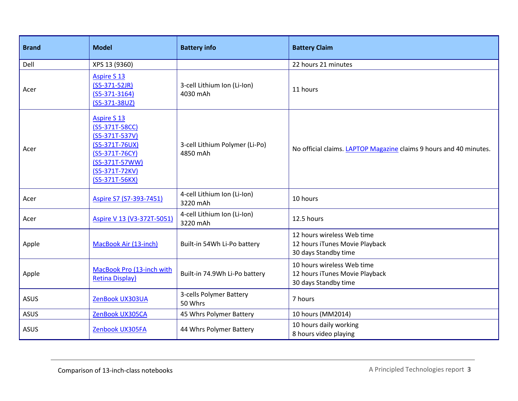| <b>Brand</b> | <b>Model</b>                                                                                                                                       | <b>Battery info</b>                        | <b>Battery Claim</b>                                                                 |  |  |
|--------------|----------------------------------------------------------------------------------------------------------------------------------------------------|--------------------------------------------|--------------------------------------------------------------------------------------|--|--|
| Dell         | XPS 13 (9360)                                                                                                                                      |                                            | 22 hours 21 minutes                                                                  |  |  |
| Acer         | <b>Aspire S 13</b><br>$(S5-371-52JR)$<br>$(S5-371-3164)$<br>(S5-371-38UZ)                                                                          | 3-cell Lithium Ion (Li-Ion)<br>4030 mAh    | 11 hours                                                                             |  |  |
| Acer         | <b>Aspire S 13</b><br>(S5-371T-58CC)<br>$(S5-371T-537V)$<br>(S5-371T-76UX)<br>(S5-371T-76CY)<br>(S5-371T-57WW)<br>(S5-371T-72KV)<br>(S5-371T-56KX) | 3-cell Lithium Polymer (Li-Po)<br>4850 mAh | No official claims. LAPTOP Magazine claims 9 hours and 40 minutes.                   |  |  |
| Acer         | Aspire S7 (S7-393-7451)                                                                                                                            | 4-cell Lithium Ion (Li-Ion)<br>3220 mAh    | 10 hours                                                                             |  |  |
| Acer         | Aspire V 13 (V3-372T-5051)                                                                                                                         | 4-cell Lithium Ion (Li-Ion)<br>3220 mAh    | 12.5 hours                                                                           |  |  |
| Apple        | MacBook Air (13-inch)                                                                                                                              | Built-in 54Wh Li-Po battery                | 12 hours wireless Web time<br>12 hours iTunes Movie Playback<br>30 days Standby time |  |  |
| Apple        | MacBook Pro (13-inch with<br><b>Retina Display)</b>                                                                                                | Built-in 74.9Wh Li-Po battery              | 10 hours wireless Web time<br>12 hours iTunes Movie Playback<br>30 days Standby time |  |  |
| <b>ASUS</b>  | ZenBook UX303UA                                                                                                                                    | 3-cells Polymer Battery<br>50 Whrs         | 7 hours                                                                              |  |  |
| <b>ASUS</b>  | ZenBook UX305CA                                                                                                                                    | 45 Whrs Polymer Battery                    | 10 hours (MM2014)                                                                    |  |  |
| <b>ASUS</b>  | Zenbook UX305FA                                                                                                                                    | 44 Whrs Polymer Battery                    | 10 hours daily working<br>8 hours video playing                                      |  |  |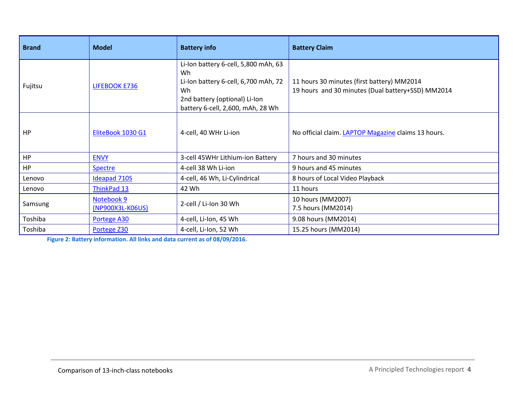| <b>Brand</b> | <b>Model</b>                   | <b>Battery info</b>                                                                                                                                            | <b>Battery Claim</b>                                                                            |  |  |
|--------------|--------------------------------|----------------------------------------------------------------------------------------------------------------------------------------------------------------|-------------------------------------------------------------------------------------------------|--|--|
| Fujitsu      | LIFEBOOK E736                  | Li-Ion battery 6-cell, 5,800 mAh, 63<br>Wh<br>Li-Ion battery 6-cell, 6,700 mAh, 72<br>Wh<br>2nd battery (optional) Li-Ion<br>battery 6-cell, 2,600, mAh, 28 Wh | 11 hours 30 minutes (first battery) MM2014<br>19 hours and 30 minutes (Dual battery+SSD) MM2014 |  |  |
| HP           | EliteBook 1030 G1              | 4-cell, 40 WHr Li-ion                                                                                                                                          | No official claim. LAPTOP Magazine claims 13 hours.                                             |  |  |
| HP           | <b>ENVY</b>                    | 3-cell 45WHr Lithium-ion Battery                                                                                                                               | 7 hours and 30 minutes                                                                          |  |  |
| HP           | <b>Spectre</b>                 | 4-cell 38 Wh Li-ion                                                                                                                                            | 9 hours and 45 minutes                                                                          |  |  |
| Lenovo       | <b>Ideapad 710S</b>            | 4-cell, 46 Wh, Li-Cylindrical                                                                                                                                  | 8 hours of Local Video Playback                                                                 |  |  |
| Lenovo       | ThinkPad 13                    | 42 Wh                                                                                                                                                          | 11 hours                                                                                        |  |  |
| Samsung      | Notebook 9<br>(NP900X3L-K06US) | 2-cell / Li-Ion 30 Wh                                                                                                                                          | 10 hours (MM2007)<br>7.5 hours (MM2014)                                                         |  |  |
| Toshiba      | Portege A30                    | 4-cell, Li-Ion, 45 Wh                                                                                                                                          | 9.08 hours (MM2014)                                                                             |  |  |
| Toshiba      | Portege Z30                    | 4-cell, Li-Ion, 52 Wh                                                                                                                                          | 15.25 hours (MM2014)                                                                            |  |  |

**Figure 2: Battery information. All links and data current as of 08/09/2016.**